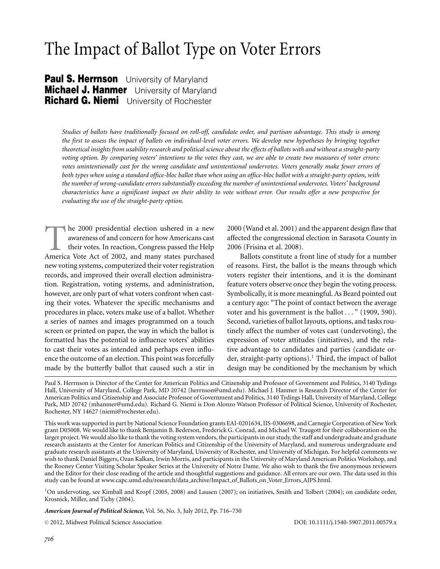# The Impact of Ballot Type on Voter Errors

**Paul S. Herrnson** University of Maryland **Michael J. Hanmer** University of Maryland **Richard G. Niemi** University of Rochester

> *Studies of ballots have traditionally focused on roll-off, candidate order, and partisan advantage. This study is among the first to assess the impact of ballots on individual-level voter errors. We develop new hypotheses by bringing together theoretical insights from usability research and political science about the effects of ballots with and without a straight-party voting option. By comparing voters' intentions to the votes they cast, we are able to create two measures of voter errors: votes unintentionally cast for the wrong candidate and unintentional undervotes. Voters generally make fewer errors of both types when using a standard office-bloc ballot than when using an office-bloc ballot with a straight-party option, with the number of wrong-candidate errors substantially exceeding the number of unintentional undervotes. Voters' background characteristics have a significant impact on their ability to vote without error. Our results offer a new perspective for evaluating the use of the straight-party option.*

The 2000 presidential election ushered in a new awareness of and concern for how Americans cast<br>their votes. In reaction, Congress passed the Help<br>America Vote Act of 2002, and many states purchased awareness of and concern for how Americans cast their votes. In reaction, Congress passed the Help new voting systems, computerized their voter registration records, and improved their overall election administration. Registration, voting systems, and administration, however, are only part of what voters confront when casting their votes. Whatever the specific mechanisms and procedures in place, voters make use of a ballot. Whether a series of names and images programmed on a touch screen or printed on paper, the way in which the ballot is formatted has the potential to influence voters' abilities to cast their votes as intended and perhaps even influence the outcome of an election. This point was forcefully made by the butterfly ballot that caused such a stir in

2000 (Wand et al. 2001) and the apparent design flaw that affected the congressional election in Sarasota County in 2006 (Frisina et al. 2008).

Ballots constitute a front line of study for a number of reasons. First, the ballot is the means through which voters register their intentions, and it is the dominant feature voters observe once they begin the voting process. Symbolically, it is more meaningful. As Beard pointed out a century ago: "The point of contact between the average voter and his government is the ballot ..." (1909, 590). Second, varieties of ballot layouts, options, and tasks routinely affect the number of votes cast (undervoting), the expression of voter attitudes (initiatives), and the relative advantage to candidates and parties (candidate order, straight-party options).<sup>1</sup> Third, the impact of ballot design may be conditioned by the mechanism by which

Paul S. Herrnson is Director of the Center for American Politics and Citizenship and Professor of Government and Politics, 3140 Tydings Hall, University of Maryland, College Park, MD 20742 (herrnson@umd.edu). Michael J. Hanmer is Research Director of the Center for American Politics and Citizenship and Associate Professor of Government and Politics, 3140 Tydings Hall, University of Maryland, College Park, MD 20742 (mhanmer@umd.edu). Richard G. Niemi is Don Alonzo Watson Professor of Political Science, University of Rochester, Rochester, NY 14627 (niemi@rochester.edu).

This work was supported in part by National Science Foundation grants EAI-0201634, IIS-0306698, and Carnegie Corporation of New York grant D05008. We would like to thank Benjamin B. Bederson, Frederick G. Conrad, and Michael W. Traugott for their collaboration on the larger project. We would also like to thank the voting system vendors, the participants in our study, the staff and undergraduate and graduate research assistants at the Center for American Politics and Citizenship of the University of Maryland, and numerous undergraduate and graduate research assistants at the University of Maryland, University of Rochester, and University of Michigan. For helpful comments we wish to thank Daniel Biggers, Ozan Kalkan, Irwin Morris, and participants in the University of Maryland American Politics Workshop, and the Rooney Center Visiting Scholar Speaker Series at the University of Notre Dame. We also wish to thank the five anonymous reviewers and the Editor for their close reading of the article and thoughtful suggestions and guidance. All errors are our own. The data used in this study can be found at www.capc.umd.edu/research/data archive/Impact of Ballots on Voter Errors AJPS.html.

<sup>1</sup>On undervoting, see Kimball and Kropf (2005, 2008) and Lausen (2007); on initiatives, Smith and Tolbert (2004); on candidate order, Krosnick, Miller, and Tichy (2004).

*American Journal of Political Science***,** Vol. 56, No. 3, July 2012, Pp. 716–730

© 2012, Midwest Political Science Association and the control of the control of the DOI: 10.1111/j.1540-5907.2011.00579.x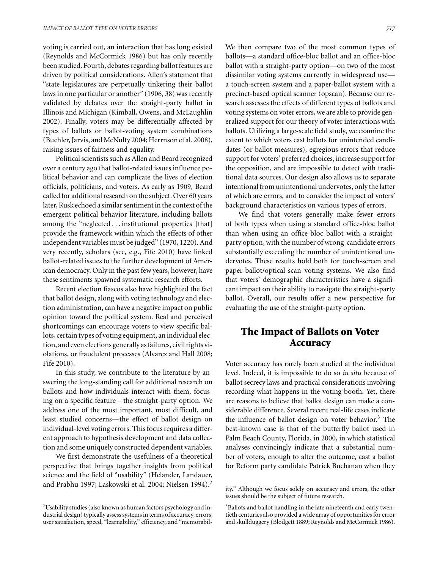voting is carried out, an interaction that has long existed (Reynolds and McCormick 1986) but has only recently been studied. Fourth, debates regarding ballot features are driven by political considerations. Allen's statement that "state legislatures are perpetually tinkering their ballot laws in one particular or another" (1906, 38) was recently validated by debates over the straight-party ballot in Illinois and Michigan (Kimball, Owens, and McLaughlin 2002). Finally, voters may be differentially affected by types of ballots or ballot-voting system combinations (Buchler, Jarvis, and McNulty 2004; Herrnson et al. 2008), raising issues of fairness and equality.

Political scientists such as Allen and Beard recognized over a century ago that ballot-related issues influence political behavior and can complicate the lives of election officials, politicians, and voters. As early as 1909, Beard called for additional research on the subject. Over 60 years later, Rusk echoed a similar sentiment in the context of the emergent political behavior literature, including ballots among the "neglected *...* institutional properties [that] provide the framework within which the effects of other independent variables must be judged" (1970, 1220). And very recently, scholars (see, e.g., Fife 2010) have linked ballot-related issues to the further development of American democracy. Only in the past few years, however, have these sentiments spawned systematic research efforts.

Recent election fiascos also have highlighted the fact that ballot design, along with voting technology and election administration, can have a negative impact on public opinion toward the political system. Real and perceived shortcomings can encourage voters to view specific ballots, certain types of voting equipment, an individual election, and even elections generally asfailures, civil rights violations, or fraudulent processes (Alvarez and Hall 2008; Fife 2010).

In this study, we contribute to the literature by answering the long-standing call for additional research on ballots and how individuals interact with them, focusing on a specific feature—the straight-party option. We address one of the most important, most difficult, and least studied concerns—the effect of ballot design on individual-level voting errors. This focus requires a different approach to hypothesis development and data collection and some uniquely constructed dependent variables.

We first demonstrate the usefulness of a theoretical perspective that brings together insights from political science and the field of "usability" (Helander, Landauer, and Prabhu 1997; Laskowski et al. 2004; Nielsen 1994).2

We then compare two of the most common types of ballots—a standard office-bloc ballot and an office-bloc ballot with a straight-party option—on two of the most dissimilar voting systems currently in widespread use a touch-screen system and a paper-ballot system with a precinct-based optical scanner (opscan). Because our research assesses the effects of different types of ballots and voting systems on voter errors, we are able to provide generalized support for our theory of voter interactions with ballots. Utilizing a large-scale field study, we examine the extent to which voters cast ballots for unintended candidates (or ballot measures), egregious errors that reduce support for voters' preferred choices, increase support for the opposition, and are impossible to detect with traditional data sources. Our design also allows us to separate intentional from unintentional undervotes, only the latter of which are errors, and to consider the impact of voters' background characteristics on various types of errors.

We find that voters generally make fewer errors of both types when using a standard office-bloc ballot than when using an office-bloc ballot with a straightparty option, with the number of wrong-candidate errors substantially exceeding the number of unintentional undervotes. These results hold both for touch-screen and paper-ballot/optical-scan voting systems. We also find that voters' demographic characteristics have a significant impact on their ability to navigate the straight-party ballot. Overall, our results offer a new perspective for evaluating the use of the straight-party option.

# **The Impact of Ballots on Voter Accuracy**

Voter accuracy has rarely been studied at the individual level. Indeed, it is impossible to do so *in situ* because of ballot secrecy laws and practical considerations involving recording what happens in the voting booth. Yet, there are reasons to believe that ballot design can make a considerable difference. Several recent real-life cases indicate the influence of ballot design on voter behavior.<sup>3</sup> The best-known case is that of the butterfly ballot used in Palm Beach County, Florida, in 2000, in which statistical analyses convincingly indicate that a substantial number of voters, enough to alter the outcome, cast a ballot for Reform party candidate Patrick Buchanan when they

<sup>2</sup>Usability studies (also known as human factors psychology and industrial design) typically assess systems in terms of accuracy, errors, user satisfaction, speed, "learnability," efficiency, and "memorabil-

ity." Although we focus solely on accuracy and errors, the other issues should be the subject of future research.

 $3$ Ballots and ballot handling in the late nineteenth and early twentieth centuries also provided a wide array of opportunities for error and skullduggery (Blodgett 1889; Reynolds and McCormick 1986).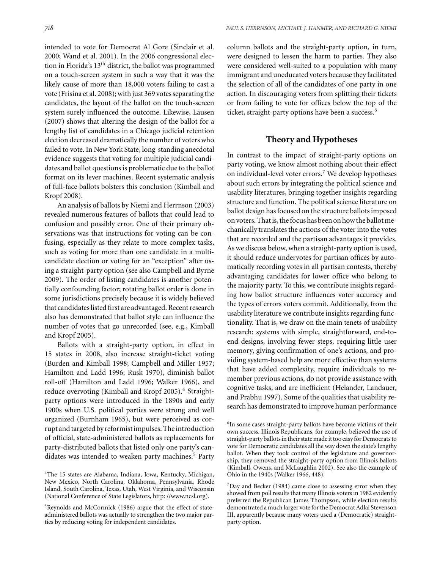intended to vote for Democrat Al Gore (Sinclair et al. 2000; Wand et al. 2001). In the 2006 congressional election in Florida's 13th district, the ballot was programmed on a touch-screen system in such a way that it was the likely cause of more than 18,000 voters failing to cast a vote (Frisina et al. 2008); with just 369 votes separating the candidates, the layout of the ballot on the touch-screen system surely influenced the outcome. Likewise, Lausen (2007) shows that altering the design of the ballot for a lengthy list of candidates in a Chicago judicial retention election decreased dramatically the number of voters who failed to vote. In New York State, long-standing anecdotal evidence suggests that voting for multiple judicial candidates and ballot questions is problematic due to the ballot format on its lever machines. Recent systematic analysis of full-face ballots bolsters this conclusion (Kimball and Kropf 2008).

An analysis of ballots by Niemi and Herrnson (2003) revealed numerous features of ballots that could lead to confusion and possibly error. One of their primary observations was that instructions for voting can be confusing, especially as they relate to more complex tasks, such as voting for more than one candidate in a multicandidate election or voting for an "exception" after using a straight-party option (see also Campbell and Byrne 2009). The order of listing candidates is another potentially confounding factor; rotating ballot order is done in some jurisdictions precisely because it is widely believed that candidates listed first are advantaged. Recent research also has demonstrated that ballot style can influence the number of votes that go unrecorded (see, e.g., Kimball and Kropf 2005).

Ballots with a straight-party option, in effect in 15 states in 2008, also increase straight-ticket voting (Burden and Kimball 1998; Campbell and Miller 1957; Hamilton and Ladd 1996; Rusk 1970), diminish ballot roll-off (Hamilton and Ladd 1996; Walker 1966), and reduce overvoting (Kimball and Kropf 2005).<sup>4</sup> Straightparty options were introduced in the 1890s and early 1900s when U.S. political parties were strong and well organized (Burnham 1965), but were perceived as corrupt and targeted by reformist impulses. The introduction of official, state-administered ballots as replacements for party-distributed ballots that listed only one party's candidates was intended to weaken party machines.<sup>5</sup> Party

4The 15 states are Alabama, Indiana, Iowa, Kentucky, Michigan, New Mexico, North Carolina, Oklahoma, Pennsylvania, Rhode Island, South Carolina, Texas, Utah, West Virginia, and Wisconsin (National Conference of State Legislators, http: //www.ncsl.org).

<sup>5</sup>Reynolds and McCormick (1986) argue that the effect of stateadministered ballots was actually to strengthen the two major parties by reducing voting for independent candidates.

column ballots and the straight-party option, in turn, were designed to lessen the harm to parties. They also were considered well-suited to a population with many immigrant and uneducated voters because they facilitated the selection of all of the candidates of one party in one action. In discouraging voters from splitting their tickets or from failing to vote for offices below the top of the ticket, straight-party options have been a success.<sup>6</sup>

## **Theory and Hypotheses**

In contrast to the impact of straight-party options on party voting, we know almost nothing about their effect on individual-level voter errors.7 We develop hypotheses about such errors by integrating the political science and usability literatures, bringing together insights regarding structure and function. The political science literature on ballot design has focused on the structure ballots imposed on voters. That is, the focus has been on how the ballot mechanically translates the actions of the voter into the votes that are recorded and the partisan advantages it provides. As we discuss below, when a straight-party option is used, it should reduce undervotes for partisan offices by automatically recording votes in all partisan contests, thereby advantaging candidates for lower office who belong to the majority party. To this, we contribute insights regarding how ballot structure influences voter accuracy and the types of errors voters commit. Additionally, from the usability literature we contribute insights regarding functionality. That is, we draw on the main tenets of usability research: systems with simple, straightforward, end-toend designs, involving fewer steps, requiring little user memory, giving confirmation of one's actions, and providing system-based help are more effective than systems that have added complexity, require individuals to remember previous actions, do not provide assistance with cognitive tasks, and are inefficient (Helander, Landauer, and Prabhu 1997). Some of the qualities that usability research has demonstrated to improve human performance

 $7$ Day and Becker (1984) came close to assessing error when they showed from poll results that many Illinois voters in 1982 evidently preferred the Republican James Thompson, while election results demonstrated a much larger vote for the Democrat Adlai Stevenson III, apparently because many voters used a (Democratic) straightparty option.

<sup>&</sup>lt;sup>6</sup>In some cases straight-party ballots have become victims of their own success. Illinois Republicans, for example, believed the use of straight-party ballots in their statemade it too easyfor Democrats to vote for Democratic candidates all the way down the state's lengthy ballot. When they took control of the legislature and governorship, they removed the straight-party option from Illinois ballots (Kimball, Owens, and McLaughlin 2002). See also the example of Ohio in the 1940s (Walker 1966, 448).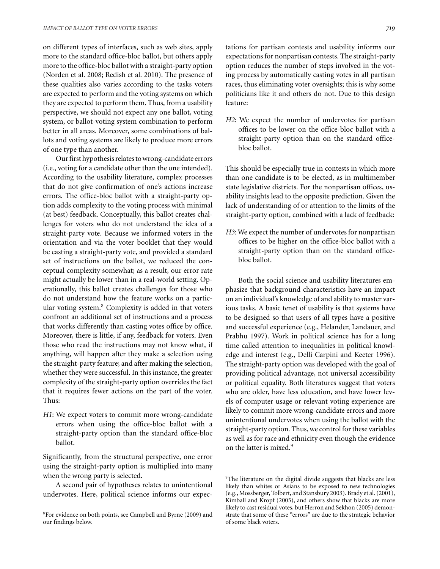on different types of interfaces, such as web sites, apply more to the standard office-bloc ballot, but others apply more to the office-bloc ballot with a straight-party option (Norden et al. 2008; Redish et al. 2010). The presence of these qualities also varies according to the tasks voters are expected to perform and the voting systems on which they are expected to perform them. Thus, from a usability perspective, we should not expect any one ballot, voting system, or ballot-voting system combination to perform better in all areas. Moreover, some combinations of ballots and voting systems are likely to produce more errors of one type than another.

Our first hypothesis relates to wrong-candidate errors (i.e., voting for a candidate other than the one intended). According to the usability literature, complex processes that do not give confirmation of one's actions increase errors. The office-bloc ballot with a straight-party option adds complexity to the voting process with minimal (at best) feedback. Conceptually, this ballot creates challenges for voters who do not understand the idea of a straight-party vote. Because we informed voters in the orientation and via the voter booklet that they would be casting a straight-party vote, and provided a standard set of instructions on the ballot, we reduced the conceptual complexity somewhat; as a result, our error rate might actually be lower than in a real-world setting. Operationally, this ballot creates challenges for those who do not understand how the feature works on a particular voting system.<sup>8</sup> Complexity is added in that voters confront an additional set of instructions and a process that works differently than casting votes office by office. Moreover, there is little, if any, feedback for voters. Even those who read the instructions may not know what, if anything, will happen after they make a selection using the straight-party feature; and after making the selection, whether they were successful. In this instance, the greater complexity of the straight-party option overrides the fact that it requires fewer actions on the part of the voter. Thus:

*H1*: We expect voters to commit more wrong-candidate errors when using the office-bloc ballot with a straight-party option than the standard office-bloc ballot.

Significantly, from the structural perspective, one error using the straight-party option is multiplied into many when the wrong party is selected.

A second pair of hypotheses relates to unintentional undervotes. Here, political science informs our expec-

tations for partisan contests and usability informs our expectations for nonpartisan contests. The straight-party option reduces the number of steps involved in the voting process by automatically casting votes in all partisan races, thus eliminating voter oversights; this is why some politicians like it and others do not. Due to this design feature:

*H2*: We expect the number of undervotes for partisan offices to be lower on the office-bloc ballot with a straight-party option than on the standard officebloc ballot.

This should be especially true in contests in which more than one candidate is to be elected, as in multimember state legislative districts. For the nonpartisan offices, usability insights lead to the opposite prediction. Given the lack of understanding of or attention to the limits of the straight-party option, combined with a lack of feedback:

*H3*: We expect the number of undervotes for nonpartisan offices to be higher on the office-bloc ballot with a straight-party option than on the standard officebloc ballot.

Both the social science and usability literatures emphasize that background characteristics have an impact on an individual's knowledge of and ability to master various tasks. A basic tenet of usability is that systems have to be designed so that users of all types have a positive and successful experience (e.g., Helander, Landauer, and Prabhu 1997). Work in political science has for a long time called attention to inequalities in political knowledge and interest (e.g., Delli Carpini and Keeter 1996). The straight-party option was developed with the goal of providing political advantage, not universal accessibility or political equality. Both literatures suggest that voters who are older, have less education, and have lower levels of computer usage or relevant voting experience are likely to commit more wrong-candidate errors and more unintentional undervotes when using the ballot with the straight-party option. Thus, we control for these variables as well as for race and ethnicity even though the evidence on the latter is mixed.<sup>9</sup>

<sup>8</sup>For evidence on both points, see Campbell and Byrne (2009) and our findings below.

<sup>&</sup>lt;sup>9</sup>The literature on the digital divide suggests that blacks are less likely than whites or Asians to be exposed to new technologies (e.g., Mossberger, Tolbert, and Stansbury 2003). Brady et al. (2001), Kimball and Kropf (2005), and others show that blacks are more likely to cast residual votes, but Herron and Sekhon (2005) demonstrate that some of these "errors" are due to the strategic behavior of some black voters.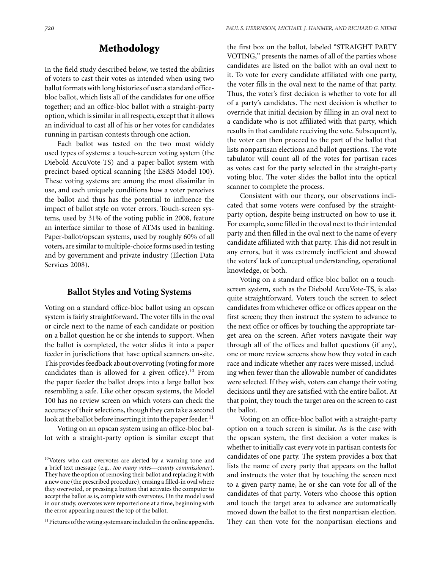## **Methodology**

In the field study described below, we tested the abilities of voters to cast their votes as intended when using two ballot formats with long histories of use: a standard officebloc ballot, which lists all of the candidates for one office together; and an office-bloc ballot with a straight-party option, which is similar in all respects, except that it allows an individual to cast all of his or her votes for candidates running in partisan contests through one action.

Each ballot was tested on the two most widely used types of systems: a touch-screen voting system (the Diebold AccuVote-TS) and a paper-ballot system with precinct-based optical scanning (the ES&S Model 100). These voting systems are among the most dissimilar in use, and each uniquely conditions how a voter perceives the ballot and thus has the potential to influence the impact of ballot style on voter errors. Touch-screen systems, used by 31% of the voting public in 2008, feature an interface similar to those of ATMs used in banking. Paper-ballot/opscan systems, used by roughly 60% of all voters, are similar to multiple-choice forms used in testing and by government and private industry (Election Data Services 2008).

#### **Ballot Styles and Voting Systems**

Voting on a standard office-bloc ballot using an opscan system is fairly straightforward. The voter fills in the oval or circle next to the name of each candidate or position on a ballot question he or she intends to support. When the ballot is completed, the voter slides it into a paper feeder in jurisdictions that have optical scanners on-site. This provides feedback about overvoting (voting for more candidates than is allowed for a given office).<sup>10</sup> From the paper feeder the ballot drops into a large ballot box resembling a safe. Like other opscan systems, the Model 100 has no review screen on which voters can check the accuracy of their selections, though they can take a second look at the ballot before inserting it into the paper feeder.<sup>11</sup>

Voting on an opscan system using an office-bloc ballot with a straight-party option is similar except that

 $11$ Pictures of the voting systems are included in the online appendix.

the first box on the ballot, labeled "STRAIGHT PARTY VOTING," presents the names of all of the parties whose candidates are listed on the ballot with an oval next to it. To vote for every candidate affiliated with one party, the voter fills in the oval next to the name of that party. Thus, the voter's first decision is whether to vote for all of a party's candidates. The next decision is whether to override that initial decision by filling in an oval next to a candidate who is not affiliated with that party, which results in that candidate receiving the vote. Subsequently, the voter can then proceed to the part of the ballot that lists nonpartisan elections and ballot questions. The vote tabulator will count all of the votes for partisan races as votes cast for the party selected in the straight-party voting bloc. The voter slides the ballot into the optical scanner to complete the process.

Consistent with our theory, our observations indicated that some voters were confused by the straightparty option, despite being instructed on how to use it. For example, some filled in the oval next to their intended party and then filled in the oval next to the name of every candidate affiliated with that party. This did not result in any errors, but it was extremely inefficient and showed the voters' lack of conceptual understanding, operational knowledge, or both.

Voting on a standard office-bloc ballot on a touchscreen system, such as the Diebold AccuVote-TS, is also quite straightforward. Voters touch the screen to select candidates from whichever office or offices appear on the first screen; they then instruct the system to advance to the next office or offices by touching the appropriate target area on the screen. After voters navigate their way through all of the offices and ballot questions (if any), one or more review screens show how they voted in each race and indicate whether any races were missed, including when fewer than the allowable number of candidates were selected. If they wish, voters can change their voting decisions until they are satisfied with the entire ballot. At that point, they touch the target area on the screen to cast the ballot.

Voting on an office-bloc ballot with a straight-party option on a touch screen is similar. As is the case with the opscan system, the first decision a voter makes is whether to initially cast every vote in partisan contests for candidates of one party. The system provides a box that lists the name of every party that appears on the ballot and instructs the voter that by touching the screen next to a given party name, he or she can vote for all of the candidates of that party. Voters who choose this option and touch the target area to advance are automatically moved down the ballot to the first nonpartisan election. They can then vote for the nonpartisan elections and

<sup>&</sup>lt;sup>10</sup>Voters who cast overvotes are alerted by a warning tone and a brief text message (e.g., *too many votes—county commissioner*). They have the option of removing their ballot and replacing it with a new one (the prescribed procedure), erasing a filled-in oval where they overvoted, or pressing a button that activates the computer to accept the ballot as is, complete with overvotes. On the model used in our study, overvotes were reported one at a time, beginning with the error appearing nearest the top of the ballot.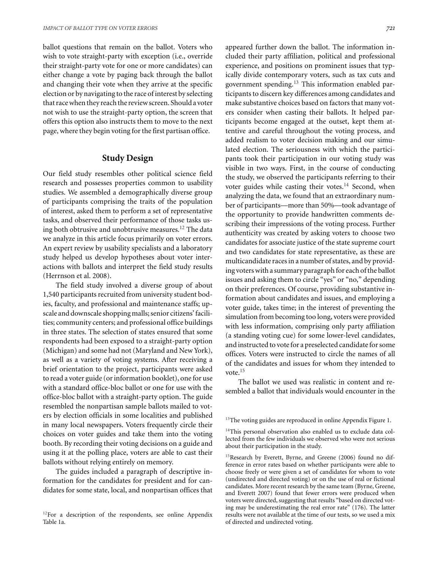ballot questions that remain on the ballot. Voters who wish to vote straight-party with exception (i.e., override their straight-party vote for one or more candidates) can either change a vote by paging back through the ballot and changing their vote when they arrive at the specific election or by navigating to the race of interest by selecting that racewhen they reach the review screen. Should a voter not wish to use the straight-party option, the screen that offers this option also instructs them to move to the next page, where they begin voting for the first partisan office.

#### **Study Design**

Our field study resembles other political science field research and possesses properties common to usability studies. We assembled a demographically diverse group of participants comprising the traits of the population of interest, asked them to perform a set of representative tasks, and observed their performance of those tasks using both obtrusive and unobtrusive measures.<sup>12</sup> The data we analyze in this article focus primarily on voter errors. An expert review by usability specialists and a laboratory study helped us develop hypotheses about voter interactions with ballots and interpret the field study results (Herrnson et al. 2008).

The field study involved a diverse group of about 1,540 participants recruited from university student bodies, faculty, and professional and maintenance staffs; upscale and downscale shopping malls; senior citizens'facilities; community centers; and professional office buildings in three states. The selection of states ensured that some respondents had been exposed to a straight-party option (Michigan) and some had not (Maryland and New York), as well as a variety of voting systems. After receiving a brief orientation to the project, participants were asked to read a voter guide (or information booklet), one for use with a standard office-bloc ballot or one for use with the office-bloc ballot with a straight-party option. The guide resembled the nonpartisan sample ballots mailed to voters by election officials in some localities and published in many local newspapers. Voters frequently circle their choices on voter guides and take them into the voting booth. By recording their voting decisions on a guide and using it at the polling place, voters are able to cast their ballots without relying entirely on memory.

The guides included a paragraph of descriptive information for the candidates for president and for candidates for some state, local, and nonpartisan offices that

appeared further down the ballot. The information included their party affiliation, political and professional experience, and positions on prominent issues that typically divide contemporary voters, such as tax cuts and government spending.<sup>13</sup> This information enabled participants to discern key differences among candidates and make substantive choices based on factors that many voters consider when casting their ballots. It helped participants become engaged at the outset, kept them attentive and careful throughout the voting process, and added realism to voter decision making and our simulated election. The seriousness with which the participants took their participation in our voting study was visible in two ways. First, in the course of conducting the study, we observed the participants referring to their voter guides while casting their votes. $14$  Second, when analyzing the data, we found that an extraordinary number of participants—more than 50%—took advantage of the opportunity to provide handwritten comments describing their impressions of the voting process. Further authenticity was created by asking voters to choose two candidates for associate justice of the state supreme court and two candidates for state representative, as these are multicandidate races in a number of states, and by providing voters with a summary paragraph for each of the ballot issues and asking them to circle "yes" or "no," depending on their preferences. Of course, providing substantive information about candidates and issues, and employing a voter guide, takes time; in the interest of preventing the simulation from becoming too long, voters were provided with less information, comprising only party affiliation (a standing voting cue) for some lower-level candidates, and instructed to vote for a preselected candidate for some offices. Voters were instructed to circle the names of all of the candidates and issues for whom they intended to vote.15

The ballot we used was realistic in content and resembled a ballot that individuals would encounter in the

<sup>&</sup>lt;sup>12</sup>For a description of the respondents, see online Appendix Table 1a.

 $13$ <sup>13</sup>The voting guides are reproduced in online Appendix Figure 1.

<sup>&</sup>lt;sup>14</sup>This personal observation also enabled us to exclude data collected from the few individuals we observed who were not serious about their participation in the study.

<sup>&</sup>lt;sup>15</sup>Research by Everett, Byrne, and Greene (2006) found no difference in error rates based on whether participants were able to choose freely or were given a set of candidates for whom to vote (undirected and directed voting) or on the use of real or fictional candidates. More recent research by the same team (Byrne, Greene, and Everett 2007) found that fewer errors were produced when voters were directed, suggesting that results "based on directed voting may be underestimating the real error rate" (176). The latter results were not available at the time of our tests, so we used a mix of directed and undirected voting.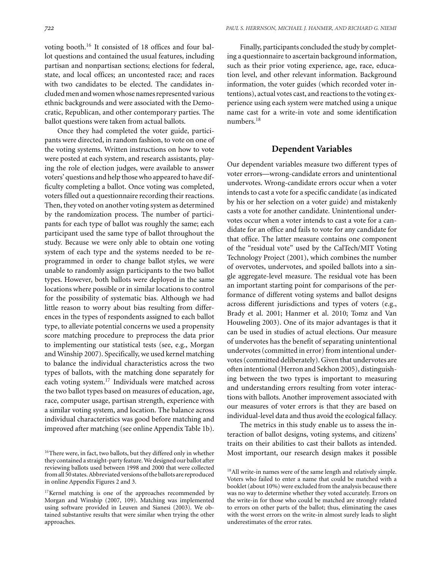voting booth.<sup>16</sup> It consisted of 18 offices and four ballot questions and contained the usual features, including partisan and nonpartisan sections; elections for federal, state, and local offices; an uncontested race; and races with two candidates to be elected. The candidates includedmen and women whose names represented various ethnic backgrounds and were associated with the Democratic, Republican, and other contemporary parties. The ballot questions were taken from actual ballots.

Once they had completed the voter guide, participants were directed, in random fashion, to vote on one of the voting systems. Written instructions on how to vote were posted at each system, and research assistants, playing the role of election judges, were available to answer voters' questions and help those who appeared to have difficulty completing a ballot. Once voting was completed, voters filled out a questionnaire recording their reactions. Then, they voted on another voting system as determined by the randomization process. The number of participants for each type of ballot was roughly the same; each participant used the same type of ballot throughout the study. Because we were only able to obtain one voting system of each type and the systems needed to be reprogrammed in order to change ballot styles, we were unable to randomly assign participants to the two ballot types. However, both ballots were deployed in the same locations where possible or in similar locations to control for the possibility of systematic bias. Although we had little reason to worry about bias resulting from differences in the types of respondents assigned to each ballot type, to alleviate potential concerns we used a propensity score matching procedure to preprocess the data prior to implementing our statistical tests (see, e.g., Morgan and Winship 2007). Specifically, we used kernel matching to balance the individual characteristics across the two types of ballots, with the matching done separately for each voting system.<sup>17</sup> Individuals were matched across the two ballot types based on measures of education, age, race, computer usage, partisan strength, experience with a similar voting system, and location. The balance across individual characteristics was good before matching and improved after matching (see online Appendix Table 1b).

Finally, participants concluded the study by completing a questionnaire to ascertain background information, such as their prior voting experience, age, race, education level, and other relevant information. Background information, the voter guides (which recorded voter intentions), actual votes cast, and reactions to the voting experience using each system were matched using a unique name cast for a write-in vote and some identification numbers.<sup>18</sup>

## **Dependent Variables**

Our dependent variables measure two different types of voter errors—wrong-candidate errors and unintentional undervotes. Wrong-candidate errors occur when a voter intends to cast a vote for a specific candidate (as indicated by his or her selection on a voter guide) and mistakenly casts a vote for another candidate. Unintentional undervotes occur when a voter intends to cast a vote for a candidate for an office and fails to vote for any candidate for that office. The latter measure contains one component of the "residual vote" used by the CalTech/MIT Voting Technology Project (2001), which combines the number of overvotes, undervotes, and spoiled ballots into a single aggregate-level measure. The residual vote has been an important starting point for comparisons of the performance of different voting systems and ballot designs across different jurisdictions and types of voters (e.g., Brady et al. 2001; Hanmer et al. 2010; Tomz and Van Houweling 2003). One of its major advantages is that it can be used in studies of actual elections. Our measure of undervotes has the benefit of separating unintentional undervotes (committed in error) from intentional undervotes (committed deliberately). Given that undervotes are often intentional (Herron and Sekhon 2005), distinguishing between the two types is important to measuring and understanding errors resulting from voter interactions with ballots. Another improvement associated with our measures of voter errors is that they are based on individual-level data and thus avoid the ecological fallacy.

The metrics in this study enable us to assess the interaction of ballot designs, voting systems, and citizens' traits on their abilities to cast their ballots as intended. Most important, our research design makes it possible

<sup>&</sup>lt;sup>16</sup>There were, in fact, two ballots, but they differed only in whether they contained a straight-party feature.We designed our ballot after reviewing ballots used between 1998 and 2000 that were collected from all 50 states. Abbreviated versions of the ballots are reproduced in online Appendix Figures 2 and 3.

<sup>&</sup>lt;sup>17</sup>Kernel matching is one of the approaches recommended by Morgan and Winship (2007, 109). Matching was implemented using software provided in Leuven and Sianesi (2003). We obtained substantive results that were similar when trying the other approaches.

<sup>&</sup>lt;sup>18</sup> All write-in names were of the same length and relatively simple. Voters who failed to enter a name that could be matched with a booklet (about 10%) were excluded from the analysis because there was no way to determine whether they voted accurately. Errors on the write-in for those who could be matched are strongly related to errors on other parts of the ballot; thus, eliminating the cases with the worst errors on the write-in almost surely leads to slight underestimates of the error rates.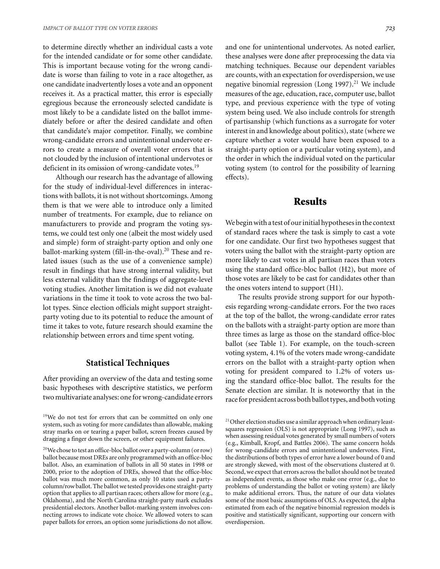to determine directly whether an individual casts a vote for the intended candidate or for some other candidate. This is important because voting for the wrong candidate is worse than failing to vote in a race altogether, as one candidate inadvertently loses a vote and an opponent receives it. As a practical matter, this error is especially egregious because the erroneously selected candidate is most likely to be a candidate listed on the ballot immediately before or after the desired candidate and often that candidate's major competitor. Finally, we combine wrong-candidate errors and unintentional undervote errors to create a measure of overall voter errors that is not clouded by the inclusion of intentional undervotes or deficient in its omission of wrong-candidate votes.<sup>19</sup>

Although our research has the advantage of allowing for the study of individual-level differences in interactions with ballots, it is not without shortcomings. Among them is that we were able to introduce only a limited number of treatments. For example, due to reliance on manufacturers to provide and program the voting systems, we could test only one (albeit the most widely used and simple) form of straight-party option and only one ballot-marking system (fill-in-the-oval).<sup>20</sup> These and related issues (such as the use of a convenience sample) result in findings that have strong internal validity, but less external validity than the findings of aggregate-level voting studies. Another limitation is we did not evaluate variations in the time it took to vote across the two ballot types. Since election officials might support straightparty voting due to its potential to reduce the amount of time it takes to vote, future research should examine the relationship between errors and time spent voting.

#### **Statistical Techniques**

After providing an overview of the data and testing some basic hypotheses with descriptive statistics, we perform two multivariate analyses: one for wrong-candidate errors and one for unintentional undervotes. As noted earlier, these analyses were done after preprocessing the data via matching techniques. Because our dependent variables are counts, with an expectation for overdispersion, we use negative binomial regression (Long 1997).<sup>21</sup> We include measures of the age, education, race, computer use, ballot type, and previous experience with the type of voting system being used. We also include controls for strength of partisanship (which functions as a surrogate for voter interest in and knowledge about politics), state (where we capture whether a voter would have been exposed to a straight-party option or a particular voting system), and the order in which the individual voted on the particular voting system (to control for the possibility of learning effects).

## **Results**

We begin with a test of our initial hypotheses in the context of standard races where the task is simply to cast a vote for one candidate. Our first two hypotheses suggest that voters using the ballot with the straight-party option are more likely to cast votes in all partisan races than voters using the standard office-bloc ballot (H2), but more of those votes are likely to be cast for candidates other than the ones voters intend to support (H1).

The results provide strong support for our hypothesis regarding wrong-candidate errors. For the two races at the top of the ballot, the wrong-candidate error rates on the ballots with a straight-party option are more than three times as large as those on the standard office-bloc ballot (see Table 1). For example, on the touch-screen voting system, 4.1% of the voters made wrong-candidate errors on the ballot with a straight-party option when voting for president compared to 1.2% of voters using the standard office-bloc ballot. The results for the Senate election are similar. It is noteworthy that in the race for president across both ballot types, and both voting

<sup>&</sup>lt;sup>19</sup>We do not test for errors that can be committed on only one system, such as voting for more candidates than allowable, making stray marks on or tearing a paper ballot, screen freezes caused by dragging a finger down the screen, or other equipment failures.

<sup>20</sup>We chose to test an office-bloc ballot over a party-column (or row) ballot because most DREs are only programmed with an office-bloc ballot. Also, an examination of ballots in all 50 states in 1998 or 2000, prior to the adoption of DREs, showed that the office-bloc ballot was much more common, as only 10 states used a partycolumn/row ballot. The ballot we tested provides one straight-party option that applies to all partisan races; others allow for more (e.g., Oklahoma), and the North Carolina straight-party mark excludes presidential electors. Another ballot-marking system involves connecting arrows to indicate vote choice. We allowed voters to scan paper ballots for errors, an option some jurisdictions do not allow.

 $21$  Other election studies use a similar approach when ordinary leastsquares regression (OLS) is not appropriate (Long 1997), such as when assessing residual votes generated by small numbers of voters (e.g., Kimball, Kropf, and Battles 2006). The same concern holds for wrong-candidate errors and unintentional undervotes. First, the distributions of both types of error have a lower bound of 0 and are strongly skewed, with most of the observations clustered at 0. Second, we expect that errors across the ballot should not be treated as independent events, as those who make one error (e.g., due to problems of understanding the ballot or voting system) are likely to make additional errors. Thus, the nature of our data violates some of the most basic assumptions of OLS. As expected, the alpha estimated from each of the negative binomial regression models is positive and statistically significant, supporting our concern with overdispersion.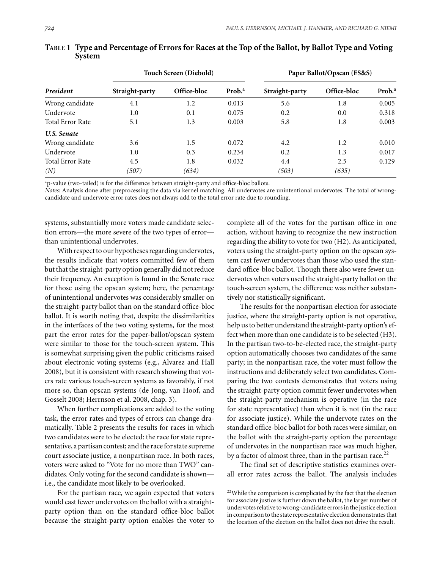| President               | Touch Screen (Diebold) |             |                   | Paper Ballot/Opscan (ES&S) |             |                    |  |
|-------------------------|------------------------|-------------|-------------------|----------------------------|-------------|--------------------|--|
|                         | Straight-party         | Office-bloc | Prob <sup>a</sup> | Straight-party             | Office-bloc | Prob. <sup>a</sup> |  |
| Wrong candidate         | 4.1                    | 1.2         | 0.013             | 5.6                        | 1.8         | 0.005              |  |
| Undervote               | 1.0                    | 0.1         | 0.075             | 0.2                        | 0.0         | 0.318              |  |
| <b>Total Error Rate</b> | 5.1                    | 1.3         | 0.003             | 5.8                        | 1.8         | 0.003              |  |
| U.S. Senate             |                        |             |                   |                            |             |                    |  |
| Wrong candidate         | 3.6                    | 1.5         | 0.072             | 4.2                        | 1.2         | 0.010              |  |
| Undervote               | 1.0                    | 0.3         | 0.234             | 0.2                        | 1.3         | 0.017              |  |
| <b>Total Error Rate</b> | 4.5                    | 1.8         | 0.032             | 4.4                        | 2.5         | 0.129              |  |
| (N)                     | (507)                  | (634)       |                   | (503)                      | (635)       |                    |  |

**TABLE 1 Type and Percentage of Errors for Races at the Top of the Ballot, by Ballot Type and Voting System**

<sup>a</sup>p-value (two-tailed) is for the difference between straight-party and office-bloc ballots.

*Notes*: Analysis done after preprocessing the data via kernel matching. All undervotes are unintentional undervotes. The total of wrongcandidate and undervote error rates does not always add to the total error rate due to rounding.

systems, substantially more voters made candidate selection errors—the more severe of the two types of error than unintentional undervotes.

With respect to our hypotheses regarding undervotes, the results indicate that voters committed few of them but that the straight-party option generally did not reduce their frequency. An exception is found in the Senate race for those using the opscan system; here, the percentage of unintentional undervotes was considerably smaller on the straight-party ballot than on the standard office-bloc ballot. It is worth noting that, despite the dissimilarities in the interfaces of the two voting systems, for the most part the error rates for the paper-ballot/opscan system were similar to those for the touch-screen system. This is somewhat surprising given the public criticisms raised about electronic voting systems (e.g., Alvarez and Hall 2008), but it is consistent with research showing that voters rate various touch-screen systems as favorably, if not more so, than opscan systems (de Jong, van Hoof, and Gosselt 2008; Herrnson et al. 2008, chap. 3).

When further complications are added to the voting task, the error rates and types of errors can change dramatically. Table 2 presents the results for races in which two candidates were to be elected: the race for state representative, a partisan contest; and the race for state supreme court associate justice, a nonpartisan race. In both races, voters were asked to "Vote for no more than TWO" candidates. Only voting for the second candidate is shown i.e., the candidate most likely to be overlooked.

For the partisan race, we again expected that voters would cast fewer undervotes on the ballot with a straightparty option than on the standard office-bloc ballot because the straight-party option enables the voter to complete all of the votes for the partisan office in one action, without having to recognize the new instruction regarding the ability to vote for two (H2). As anticipated, voters using the straight-party option on the opscan system cast fewer undervotes than those who used the standard office-bloc ballot. Though there also were fewer undervotes when voters used the straight-party ballot on the touch-screen system, the difference was neither substantively nor statistically significant.

The results for the nonpartisan election for associate justice, where the straight-party option is not operative, help us to better understand the straight-party option's effect when more than one candidate is to be selected (H3). In the partisan two-to-be-elected race, the straight-party option automatically chooses two candidates of the same party; in the nonpartisan race, the voter must follow the instructions and deliberately select two candidates. Comparing the two contests demonstrates that voters using the straight-party option commit fewer undervotes when the straight-party mechanism is operative (in the race for state representative) than when it is not (in the race for associate justice). While the undervote rates on the standard office-bloc ballot for both races were similar, on the ballot with the straight-party option the percentage of undervotes in the nonpartisan race was much higher, by a factor of almost three, than in the partisan race. $^{22}$ 

The final set of descriptive statistics examines overall error rates across the ballot. The analysis includes

<sup>&</sup>lt;sup>22</sup>While the comparison is complicated by the fact that the election for associate justice is further down the ballot, the larger number of undervotes relative to wrong-candidate errors in the justice election in comparison to the state representative election demonstrates that the location of the election on the ballot does not drive the result.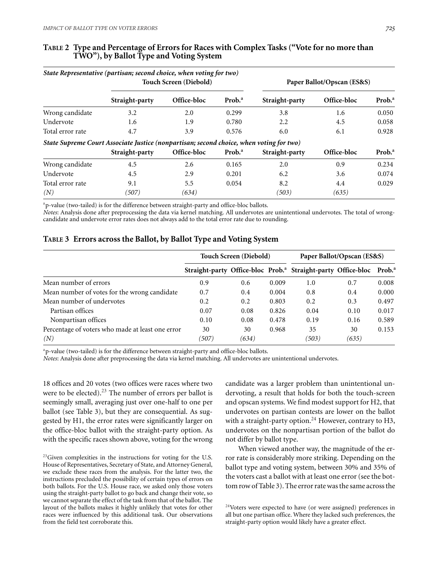#### **TABLE 2 Type and Percentage of Errors for Races with Complex Tasks ("Vote for no more than TWO"), by Ballot Type and Voting System**

|                  | State Representative (partisan; second choice, when voting for two)<br>Touch Screen (Diebold) |             |                    | Paper Ballot/Opscan (ES&S) |             |                    |  |
|------------------|-----------------------------------------------------------------------------------------------|-------------|--------------------|----------------------------|-------------|--------------------|--|
|                  | Straight-party                                                                                | Office-bloc | Prob. <sup>a</sup> | Straight-party             | Office-bloc | Prob. <sup>a</sup> |  |
| Wrong candidate  | 3.2                                                                                           | 2.0         | 0.299              | 3.8                        | 1.6         | 0.050              |  |
| Undervote        | 1.6                                                                                           | 1.9         | 0.780              | 2.2                        | 4.5         | 0.058              |  |
| Total error rate | 4.7                                                                                           | 3.9         | 0.576              | 6.0                        | 6.1         | 0.928              |  |
|                  | State Supreme Court Associate Justice (nonpartisan; second choice, when voting for two)       |             |                    |                            |             |                    |  |
|                  | Straight-party                                                                                | Office-bloc | Prob. <sup>a</sup> | Straight-party             | Office-bloc | Prob. <sup>a</sup> |  |
| Wrong candidate  | 4.5                                                                                           | 2.6         | 0.165              | 2.0                        | 0.9         | 0.234              |  |
| Undervote        | 4.5                                                                                           | 2.9         | 0.201              | 6.2                        | 3.6         | 0.074              |  |
| Total error rate | 9.1                                                                                           | 5.5         | 0.054              | 8.2                        | 4.4         | 0.029              |  |
| (N)              | (507)                                                                                         | (634)       |                    | (503)                      | (635)       |                    |  |

<sup>a</sup>p-value (two-tailed) is for the difference between straight-party and office-bloc ballots.

*Notes*: Analysis done after preprocessing the data via kernel matching. All undervotes are unintentional undervotes. The total of wrongcandidate and undervote error rates does not always add to the total error rate due to rounding.

#### **TABLE 3 Errors across the Ballot, by Ballot Type and Voting System**

|                                                  | Touch Screen (Diebold) |       |       | Paper Ballot/Opscan (ES&S)                                               |       |                    |
|--------------------------------------------------|------------------------|-------|-------|--------------------------------------------------------------------------|-------|--------------------|
|                                                  |                        |       |       | Straight-party Office-bloc Prob. <sup>a</sup> Straight-party Office-bloc |       | Prob. <sup>a</sup> |
| Mean number of errors                            | 0.9                    | 0.6   | 0.009 | 1.0                                                                      | 0.7   | 0.008              |
| Mean number of votes for the wrong candidate.    | 0.7                    | 0.4   | 0.004 | 0.8                                                                      | 0.4   | 0.000              |
| Mean number of undervotes                        | 0.2                    | 0.2   | 0.803 | 0.2                                                                      | 0.3   | 0.497              |
| Partisan offices                                 | 0.07                   | 0.08  | 0.826 | 0.04                                                                     | 0.10  | 0.017              |
| Nonpartisan offices                              | 0.10                   | 0.08  | 0.478 | 0.19                                                                     | 0.16  | 0.589              |
| Percentage of voters who made at least one error | 30                     | 30    | 0.968 | 35                                                                       | 30    | 0.153              |
| (N)                                              | (507)                  | (634) |       | (503)                                                                    | (635) |                    |

<sup>a</sup>p-value (two-tailed) is for the difference between straight-party and office-bloc ballots.

*Notes*: Analysis done after preprocessing the data via kernel matching. All undervotes are unintentional undervotes.

18 offices and 20 votes (two offices were races where two were to be elected).<sup>23</sup> The number of errors per ballot is seemingly small, averaging just over one-half to one per ballot (see Table 3), but they are consequential. As suggested by H1, the error rates were significantly larger on the office-bloc ballot with the straight-party option. As with the specific races shown above, voting for the wrong

<sup>23</sup>Given complexities in the instructions for voting for the U.S. House of Representatives, Secretary of State, and Attorney General, we exclude these races from the analysis. For the latter two, the instructions precluded the possibility of certain types of errors on both ballots. For the U.S. House race, we asked only those voters using the straight-party ballot to go back and change their vote, so we cannot separate the effect of the task from that of the ballot. The layout of the ballots makes it highly unlikely that votes for other races were influenced by this additional task. Our observations from the field test corroborate this.

candidate was a larger problem than unintentional undervoting, a result that holds for both the touch-screen and opscan systems. We find modest support for H2, that undervotes on partisan contests are lower on the ballot with a straight-party option.<sup>24</sup> However, contrary to H3, undervotes on the nonpartisan portion of the ballot do not differ by ballot type.

When viewed another way, the magnitude of the error rate is considerably more striking. Depending on the ballot type and voting system, between 30% and 35% of the voters cast a ballot with at least one error (see the bottom row of Table 3). The error rate was the same across the

 $24V$ oters were expected to have (or were assigned) preferences in all but one partisan office. Where they lacked such preferences, the straight-party option would likely have a greater effect.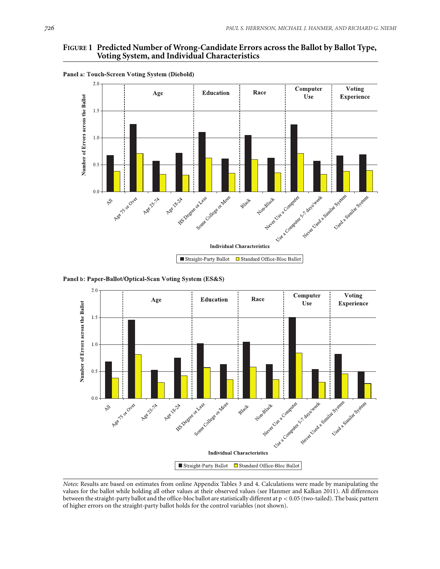#### **FIGURE 1 Predicted Number of Wrong-Candidate Errors across the Ballot by Ballot Type, Voting System, and Individual Characteristics**



Panel a: Touch-Screen Voting System (Diebold)





*Notes*: Results are based on estimates from online Appendix Tables 3 and 4. Calculations were made by manipulating the values for the ballot while holding all other values at their observed values (see Hanmer and Kalkan 2011). All differences between the straight-party ballot and the office-bloc ballot are statistically different at p *<* 0.05 (two-tailed). The basic pattern of higher errors on the straight-party ballot holds for the control variables (not shown).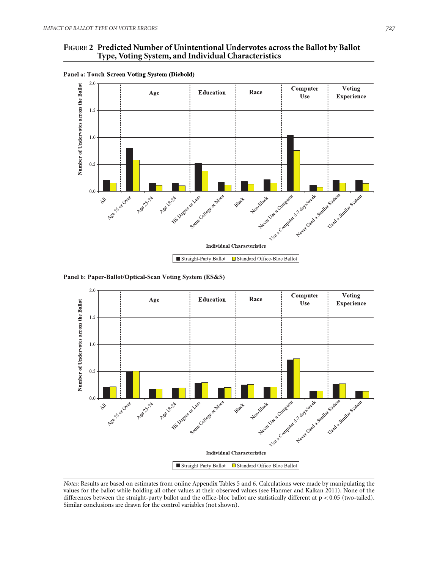#### **FIGURE 2 Predicted Number of Unintentional Undervotes across the Ballot by Ballot Type, Voting System, and Individual Characteristics**



Panel a: Touch-Screen Voting System (Diebold)

Panel b: Paper-Ballot/Optical-Scan Voting System (ES&S)



*Notes*: Results are based on estimates from online Appendix Tables 5 and 6. Calculations were made by manipulating the values for the ballot while holding all other values at their observed values (see Hanmer and Kalkan 2011). None of the differences between the straight-party ballot and the office-bloc ballot are statistically different at p *<* 0.05 (two-tailed). Similar conclusions are drawn for the control variables (not shown).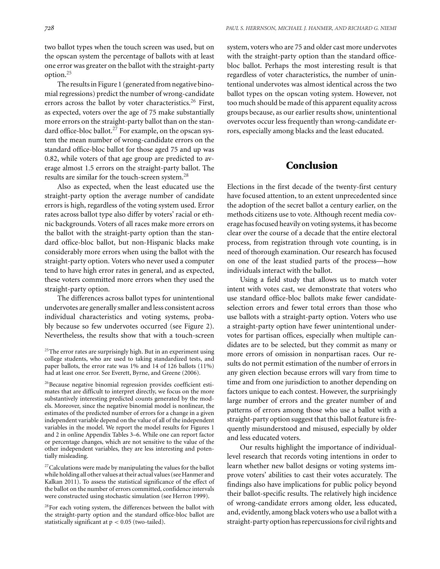two ballot types when the touch screen was used, but on the opscan system the percentage of ballots with at least one error was greater on the ballot with the straight-party option.<sup>25</sup>

The results in Figure 1 (generated from negative binomial regressions) predict the number of wrong-candidate errors across the ballot by voter characteristics.<sup>26</sup> First, as expected, voters over the age of 75 make substantially more errors on the straight-party ballot than on the standard office-bloc ballot.<sup>27</sup> For example, on the opscan system the mean number of wrong-candidate errors on the standard office-bloc ballot for those aged 75 and up was 0.82, while voters of that age group are predicted to average almost 1.5 errors on the straight-party ballot. The results are similar for the touch-screen system.<sup>28</sup>

Also as expected, when the least educated use the straight-party option the average number of candidate errors is high, regardless of the voting system used. Error rates across ballot type also differ by voters' racial or ethnic backgrounds. Voters of all races make more errors on the ballot with the straight-party option than the standard office-bloc ballot, but non-Hispanic blacks make considerably more errors when using the ballot with the straight-party option. Voters who never used a computer tend to have high error rates in general, and as expected, these voters committed more errors when they used the straight-party option.

The differences across ballot types for unintentional undervotes are generally smaller and less consistent across individual characteristics and voting systems, probably because so few undervotes occurred (see Figure 2). Nevertheless, the results show that with a touch-screen

system, voters who are 75 and older cast more undervotes with the straight-party option than the standard officebloc ballot. Perhaps the most interesting result is that regardless of voter characteristics, the number of unintentional undervotes was almost identical across the two ballot types on the opscan voting system. However, not too much should be made of this apparent equality across groups because, as our earlier results show, unintentional overvotes occur less frequently than wrong-candidate errors, especially among blacks and the least educated.

# **Conclusion**

Elections in the first decade of the twenty-first century have focused attention, to an extent unprecedented since the adoption of the secret ballot a century earlier, on the methods citizens use to vote. Although recent media coverage has focused heavily on voting systems, it has become clear over the course of a decade that the entire electoral process, from registration through vote counting, is in need of thorough examination. Our research has focused on one of the least studied parts of the process—how individuals interact with the ballot.

Using a field study that allows us to match voter intent with votes cast, we demonstrate that voters who use standard office-bloc ballots make fewer candidateselection errors and fewer total errors than those who use ballots with a straight-party option. Voters who use a straight-party option have fewer unintentional undervotes for partisan offices, especially when multiple candidates are to be selected, but they commit as many or more errors of omission in nonpartisan races. Our results do not permit estimation of the number of errors in any given election because errors will vary from time to time and from one jurisdiction to another depending on factors unique to each contest. However, the surprisingly large number of errors and the greater number of and patterns of errors among those who use a ballot with a straight-party option suggest that this ballot feature is frequently misunderstood and misused, especially by older and less educated voters.

Our results highlight the importance of individuallevel research that records voting intentions in order to learn whether new ballot designs or voting systems improve voters' abilities to cast their votes accurately. The findings also have implications for public policy beyond their ballot-specific results. The relatively high incidence of wrong-candidate errors among older, less educated, and, evidently, among black voters who use a ballot with a straight-party option has repercussionsfor civil rights and

<sup>&</sup>lt;sup>25</sup>The error rates are surprisingly high. But in an experiment using college students, who are used to taking standardized tests, and paper ballots, the error rate was 1% and 14 of 126 ballots (11%) had at least one error. See Everett, Byrne, and Greene (2006).

<sup>&</sup>lt;sup>26</sup>Because negative binomial regression provides coefficient estimates that are difficult to interpret directly, we focus on the more substantively interesting predicted counts generated by the models. Moreover, since the negative binomial model is nonlinear, the estimates of the predicted number of errors for a change in a given independent variable depend on the value of all of the independent variables in the model. We report the model results for Figures 1 and 2 in online Appendix Tables 3–6. While one can report factor or percentage changes, which are not sensitive to the value of the other independent variables, they are less interesting and potentially misleading.

 $27$  Calculations were made by manipulating the values for the ballot while holding all other values at their actual values (see Hanmer and Kalkan 2011). To assess the statistical significance of the effect of the ballot on the number of errors committed, confidence intervals were constructed using stochastic simulation (see Herron 1999).

<sup>&</sup>lt;sup>28</sup>For each voting system, the differences between the ballot with the straight-party option and the standard office-bloc ballot are statistically significant at p *<* 0.05 (two-tailed).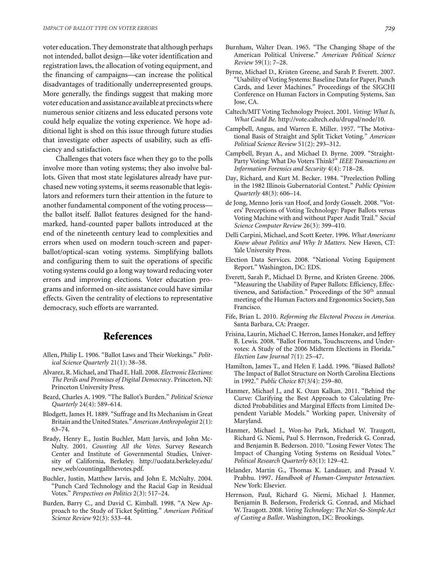voter education. They demonstrate that although perhaps not intended, ballot design—like voter identification and registration laws, the allocation of voting equipment, and the financing of campaigns—can increase the political disadvantages of traditionally underrepresented groups. More generally, the findings suggest that making more voter education and assistance available at precinctswhere numerous senior citizens and less educated persons vote could help equalize the voting experience. We hope additional light is shed on this issue through future studies that investigate other aspects of usability, such as efficiency and satisfaction.

Challenges that voters face when they go to the polls involve more than voting systems; they also involve ballots. Given that most state legislatures already have purchased new voting systems, it seems reasonable that legislators and reformers turn their attention in the future to another fundamental component of the voting process the ballot itself. Ballot features designed for the handmarked, hand-counted paper ballots introduced at the end of the nineteenth century lead to complexities and errors when used on modern touch-screen and paperballot/optical-scan voting systems. Simplifying ballots and configuring them to suit the operations of specific voting systems could go a long way toward reducing voter errors and improving elections. Voter education programs and informed on-site assistance could have similar effects. Given the centrality of elections to representative democracy, such efforts are warranted.

## **References**

- Allen, Philip L. 1906. "Ballot Laws and Their Workings." *Political Science Quarterly* 21(1): 38–58.
- Alvarez, R. Michael, and Thad E. Hall. 2008. *Electronic Elections: The Perils and Promises of Digital Democracy*. Princeton, NJ: Princeton University Press.
- Beard, Charles A. 1909. "The Ballot's Burden." *Political Science Quarterly* 24(4): 589–614.
- Blodgett, James H. 1889. "Suffrage and Its Mechanism in Great Britain and the United States."*American Anthropologist* 2(1): 63–74.
- Brady, Henry E., Justin Buchler, Matt Jarvis, and John Mc-Nulty. 2001. *Counting All the Votes*. Survey Research Center and Institute of Governmental Studies, University of California, Berkeley. http://ucdata.berkeley.edu/ new web/countingallthevotes.pdf.
- Buchler, Justin, Matthew Jarvis, and John E. McNulty. 2004. "Punch Card Technology and the Racial Gap in Residual Votes." *Perspectives on Politics* 2(3): 517–24.
- Burden, Barry C., and David C. Kimball. 1998. "A New Approach to the Study of Ticket Splitting." *American Political Science Review* 92(3): 533–44.
- Burnham, Walter Dean. 1965. "The Changing Shape of the American Political Universe." *American Political Science Review* 59(1): 7–28.
- Byrne, Michael D., Kristen Greene, and Sarah P. Everett. 2007. "Usability of Voting Systems: Baseline Data for Paper, Punch Cards, and Lever Machines." Proceedings of the SIGCHI Conference on Human Factors in Computing Systems, San Jose, CA.
- Caltech/MIT Voting Technology Project. 2001. *Voting: What Is, What Could Be*. http://vote.caltech.edu/drupal/node/10.
- Campbell, Angus, and Warren E. Miller. 1957. "The Motivational Basis of Straight and Split Ticket Voting." *American Political Science Review* 51(2): 293–312.
- Campbell, Bryan A., and Michael D. Byrne. 2009. "Straight-Party Voting: What Do Voters Think?" *IEEE Transactions on Information Forensics and Security* 4(4): 718–28.
- Day, Richard, and Kurt M. Becker. 1984. "Preelection Polling in the 1982 Illinois Gubernatorial Contest." *Public Opinion Quarterly* 48(3): 606–14.
- de Jong, Menno Joris van Hoof, and Jordy Gosselt. 2008. "Voters' Perceptions of Voting Technology: Paper Ballots versus Voting Machine with and without Paper Audit Trail." *Social Science Computer Review* 26(3): 399–410.
- Delli Carpini, Michael, and Scott Keeter. 1996. *What Americans Know about Politics and Why It Matters*. New Haven, CT: Yale University Press.
- Election Data Services. 2008. "National Voting Equipment Report." Washington, DC: EDS.
- Everett, Sarah P., Michael D. Byrne, and Kristen Greene. 2006. "Measuring the Usability of Paper Ballots: Efficiency, Effectiveness, and Satisfaction." Proceedings of the 50<sup>th</sup> annual meeting of the Human Factors and Ergonomics Society, San Francisco.
- Fife, Brian L. 2010. *Reforming the Electoral Process in America*. Santa Barbara, CA: Praeger.
- Frisina, Laurin, Michael C. Herron, James Honaker, and Jeffrey B. Lewis. 2008. "Ballot Formats, Touchscreens, and Undervotes: A Study of the 2006 Midterm Elections in Florida." *Election Law Journal* 7(1): 25–47.
- Hamilton, James T., and Helen F. Ladd. 1996. "Biased Ballots? The Impact of Ballot Structure on North Carolina Elections in 1992." *Public Choice* 87(3/4): 259–80.
- Hanmer, Michael J., and K. Ozan Kalkan. 2011. "Behind the Curve: Clarifying the Best Approach to Calculating Predicted Probabilities and Marginal Effects from Limited Dependent Variable Models." Working paper, University of Maryland.
- Hanmer, Michael J., Won-ho Park, Michael W. Traugott, Richard G. Niemi, Paul S. Herrnson, Frederick G. Conrad, and Benjamin B. Bederson. 2010. "Losing Fewer Votes: The Impact of Changing Voting Systems on Residual Votes." *Political Research Quarterly* 63(1): 129–42.
- Helander, Martin G., Thomas K. Landauer, and Prasad V. Prabhu. 1997. *Handbook of Human-Computer Interaction*. New York: Elsevier.
- Herrnson, Paul, Richard G. Niemi, Michael J. Hanmer, Benjamin B. Bederson, Frederick G. Conrad, and Michael W. Traugott. 2008. *Voting Technology: The Not-So-Simple Act of Casting a Ballot*. Washington, DC: Brookings.